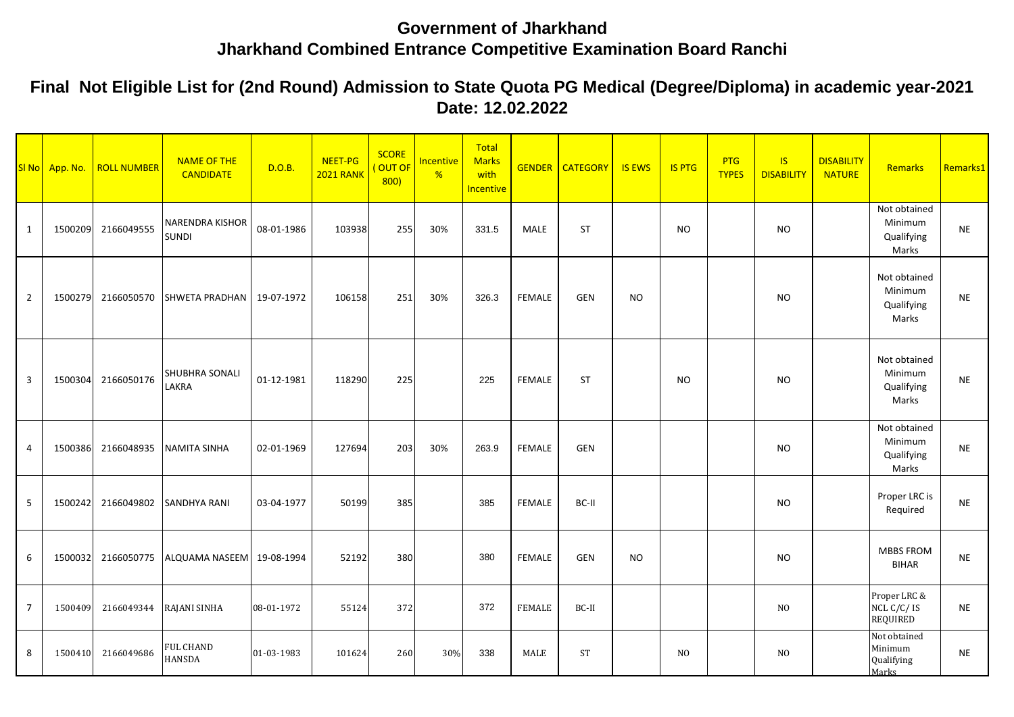## **Government of Jharkhand Jharkhand Combined Entrance Competitive Examination Board Ranchi**

**Final Not Eligible List for (2nd Round) Admission to State Quota PG Medical (Degree/Diploma) in academic year-2021 Date: 12.02.2022**

|                | SI No App. No. | <b>ROLL NUMBER</b> | <b>NAME OF THE</b><br><b>CANDIDATE</b> | D.O.B.     | NEET-PG<br><b>2021 RANK</b> | <b>SCORE</b><br>OUT OF<br>800) | Incentive<br>% | Total<br><b>Marks</b><br>with<br><b>Incentive</b> |               | <b>GENDER   CATEGORY</b> | <b>IS EWS</b> | <b>IS PTG</b>  | <b>PTG</b><br><b>TYPES</b> | IS<br><b>DISABILITY</b> | <b>DISABILITY</b><br><b>NATURE</b> | Remarks                                        | Remarks1  |
|----------------|----------------|--------------------|----------------------------------------|------------|-----------------------------|--------------------------------|----------------|---------------------------------------------------|---------------|--------------------------|---------------|----------------|----------------------------|-------------------------|------------------------------------|------------------------------------------------|-----------|
| 1              | 1500209        | 2166049555         | <b>NARENDRA KISHOR</b><br><b>SUNDI</b> | 08-01-1986 | 103938                      | 255                            | 30%            | 331.5                                             | <b>MALE</b>   | <b>ST</b>                |               | <b>NO</b>      |                            | <b>NO</b>               |                                    | Not obtained<br>Minimum<br>Qualifying<br>Marks | <b>NE</b> |
| $\overline{2}$ | 1500279        | 2166050570         | <b>SHWETA PRADHAN</b>                  | 19-07-1972 | 106158                      | 251                            | 30%            | 326.3                                             | <b>FEMALE</b> | <b>GEN</b>               | <b>NO</b>     |                |                            | <b>NO</b>               |                                    | Not obtained<br>Minimum<br>Qualifying<br>Marks | <b>NE</b> |
| 3              | 1500304        | 2166050176         | <b>SHUBHRA SONALI</b><br>LAKRA         | 01-12-1981 | 118290                      | 225                            |                | 225                                               | <b>FEMALE</b> | <b>ST</b>                |               | <b>NO</b>      |                            | <b>NO</b>               |                                    | Not obtained<br>Minimum<br>Qualifying<br>Marks | <b>NE</b> |
| 4              | 1500386        | 2166048935         | <b>NAMITA SINHA</b>                    | 02-01-1969 | 127694                      | 203                            | 30%            | 263.9                                             | <b>FEMALE</b> | <b>GEN</b>               |               |                |                            | <b>NO</b>               |                                    | Not obtained<br>Minimum<br>Qualifying<br>Marks | <b>NE</b> |
| 5              | 1500242        | 2166049802         | <b>SANDHYA RANI</b>                    | 03-04-1977 | 50199                       | 385                            |                | 385                                               | <b>FEMALE</b> | BC-II                    |               |                |                            | <b>NO</b>               |                                    | Proper LRC is<br>Required                      | <b>NE</b> |
| 6              | 1500032        | 2166050775         | ALQUAMA NASEEM                         | 19-08-1994 | 52192                       | 380                            |                | 380                                               | <b>FEMALE</b> | <b>GEN</b>               | <b>NO</b>     |                |                            | <b>NO</b>               |                                    | <b>MBBS FROM</b><br><b>BIHAR</b>               | <b>NE</b> |
| $\overline{7}$ | 1500409        | 2166049344         | RAJANI SINHA                           | 08-01-1972 | 55124                       | 372                            |                | 372                                               | <b>FEMALE</b> | BC-II                    |               |                |                            | N <sub>O</sub>          |                                    | Proper LRC &<br>NCL C/C/IS<br><b>REQUIRED</b>  | <b>NE</b> |
| 8              | 1500410        | 2166049686         | <b>FUL CHAND</b><br><b>HANSDA</b>      | 01-03-1983 | 101624                      | 260                            | 30%            | 338                                               | MALE          | <b>ST</b>                |               | N <sub>O</sub> |                            | N <sub>O</sub>          |                                    | Not obtained<br>Minimum<br>Qualifying<br>Marks | <b>NE</b> |